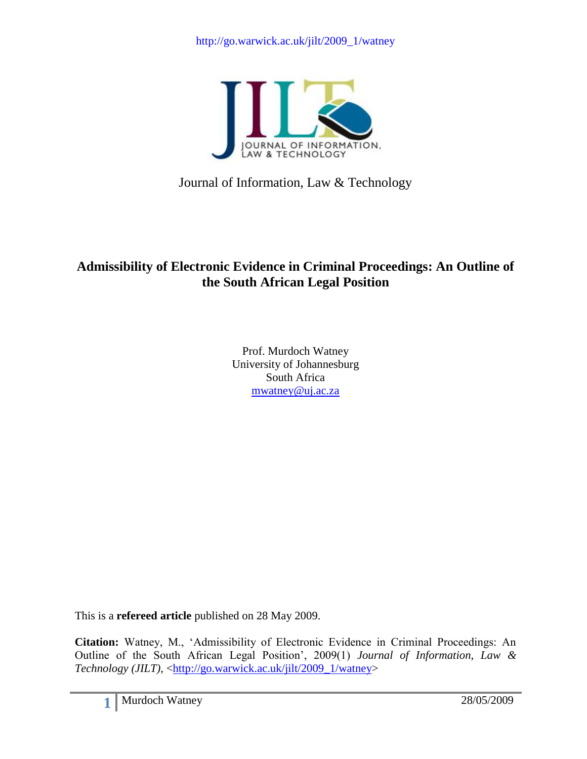

Journal of Information, Law & Technology

# **Admissibility of Electronic Evidence in Criminal Proceedings: An Outline of the South African Legal Position**

Prof. Murdoch Watney University of Johannesburg South Africa [mwatney@uj.ac.za](mailto:mwatney@uj.ac.za)

This is a **refereed article** published on 28 May 2009.

**Citation:** Watney, M., "Admissibility of Electronic Evidence in Criminal Proceedings: An Outline of the South African Legal Position", 2009(1) *Journal of Information, Law & Technology (JILT)*, [<http://go.warwick.ac.uk/jilt/2009\\_1/watney>](http://go.warwick.ac.uk/jilt/2009_1/watney)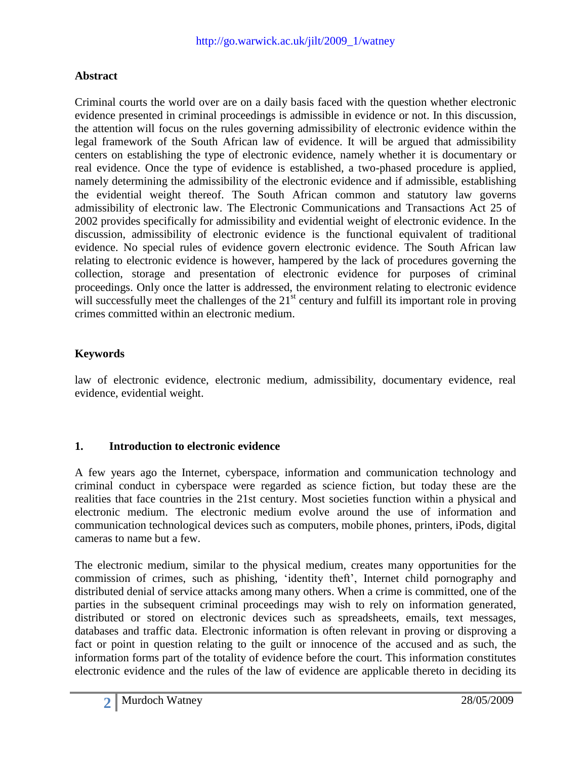### **Abstract**

Criminal courts the world over are on a daily basis faced with the question whether electronic evidence presented in criminal proceedings is admissible in evidence or not. In this discussion, the attention will focus on the rules governing admissibility of electronic evidence within the legal framework of the South African law of evidence. It will be argued that admissibility centers on establishing the type of electronic evidence, namely whether it is documentary or real evidence. Once the type of evidence is established, a two-phased procedure is applied, namely determining the admissibility of the electronic evidence and if admissible, establishing the evidential weight thereof. The South African common and statutory law governs admissibility of electronic law. The Electronic Communications and Transactions Act 25 of 2002 provides specifically for admissibility and evidential weight of electronic evidence. In the discussion, admissibility of electronic evidence is the functional equivalent of traditional evidence. No special rules of evidence govern electronic evidence. The South African law relating to electronic evidence is however, hampered by the lack of procedures governing the collection, storage and presentation of electronic evidence for purposes of criminal proceedings. Only once the latter is addressed, the environment relating to electronic evidence will successfully meet the challenges of the  $21<sup>st</sup>$  century and fulfill its important role in proving crimes committed within an electronic medium.

# **Keywords**

law of electronic evidence, electronic medium, admissibility, documentary evidence, real evidence, evidential weight.

### **1. Introduction to electronic evidence**

A few years ago the Internet, cyberspace, information and communication technology and criminal conduct in cyberspace were regarded as science fiction, but today these are the realities that face countries in the 21st century. Most societies function within a physical and electronic medium. The electronic medium evolve around the use of information and communication technological devices such as computers, mobile phones, printers, iPods, digital cameras to name but a few.

The electronic medium, similar to the physical medium, creates many opportunities for the commission of crimes, such as phishing, "identity theft", Internet child pornography and distributed denial of service attacks among many others. When a crime is committed, one of the parties in the subsequent criminal proceedings may wish to rely on information generated, distributed or stored on electronic devices such as spreadsheets, emails, text messages, databases and traffic data. Electronic information is often relevant in proving or disproving a fact or point in question relating to the guilt or innocence of the accused and as such, the information forms part of the totality of evidence before the court. This information constitutes electronic evidence and the rules of the law of evidence are applicable thereto in deciding its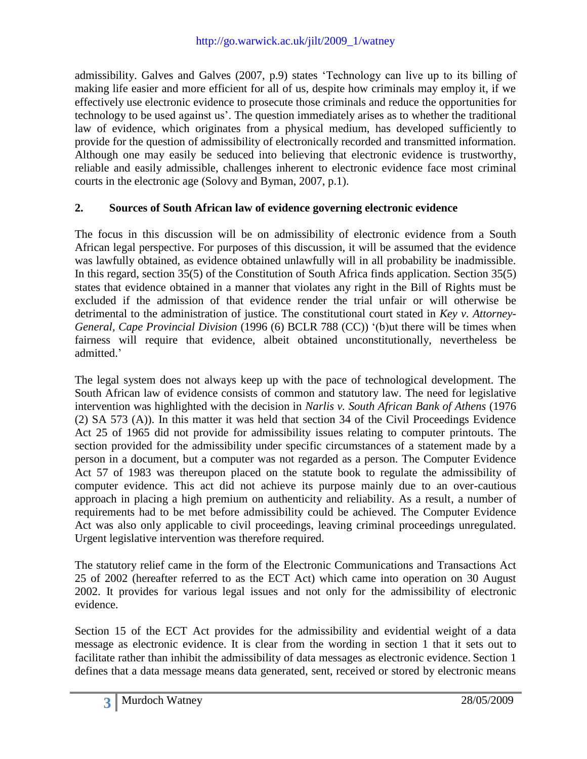admissibility. Galves and Galves (2007, p.9) states "Technology can live up to its billing of making life easier and more efficient for all of us, despite how criminals may employ it, if we effectively use electronic evidence to prosecute those criminals and reduce the opportunities for technology to be used against us". The question immediately arises as to whether the traditional law of evidence, which originates from a physical medium, has developed sufficiently to provide for the question of admissibility of electronically recorded and transmitted information. Although one may easily be seduced into believing that electronic evidence is trustworthy, reliable and easily admissible, challenges inherent to electronic evidence face most criminal courts in the electronic age (Solovy and Byman, 2007, p.1).

### **2. Sources of South African law of evidence governing electronic evidence**

The focus in this discussion will be on admissibility of electronic evidence from a South African legal perspective. For purposes of this discussion, it will be assumed that the evidence was lawfully obtained, as evidence obtained unlawfully will in all probability be inadmissible. In this regard, section 35(5) of the Constitution of South Africa finds application. Section 35(5) states that evidence obtained in a manner that violates any right in the Bill of Rights must be excluded if the admission of that evidence render the trial unfair or will otherwise be detrimental to the administration of justice. The constitutional court stated in *Key v. Attorney-General, Cape Provincial Division* (1996 (6) BCLR 788 (CC)) "(b)ut there will be times when fairness will require that evidence, albeit obtained unconstitutionally, nevertheless be admitted.'

The legal system does not always keep up with the pace of technological development. The South African law of evidence consists of common and statutory law. The need for legislative intervention was highlighted with the decision in *Narlis v. South African Bank of Athens* (1976 (2) SA 573 (A)). In this matter it was held that section 34 of the Civil Proceedings Evidence Act 25 of 1965 did not provide for admissibility issues relating to computer printouts. The section provided for the admissibility under specific circumstances of a statement made by a person in a document, but a computer was not regarded as a person. The Computer Evidence Act 57 of 1983 was thereupon placed on the statute book to regulate the admissibility of computer evidence. This act did not achieve its purpose mainly due to an over-cautious approach in placing a high premium on authenticity and reliability. As a result, a number of requirements had to be met before admissibility could be achieved. The Computer Evidence Act was also only applicable to civil proceedings, leaving criminal proceedings unregulated. Urgent legislative intervention was therefore required.

The statutory relief came in the form of the Electronic Communications and Transactions Act 25 of 2002 (hereafter referred to as the ECT Act) which came into operation on 30 August 2002. It provides for various legal issues and not only for the admissibility of electronic evidence.

Section 15 of the ECT Act provides for the admissibility and evidential weight of a data message as electronic evidence. It is clear from the wording in section 1 that it sets out to facilitate rather than inhibit the admissibility of data messages as electronic evidence. Section 1 defines that a data message means data generated, sent, received or stored by electronic means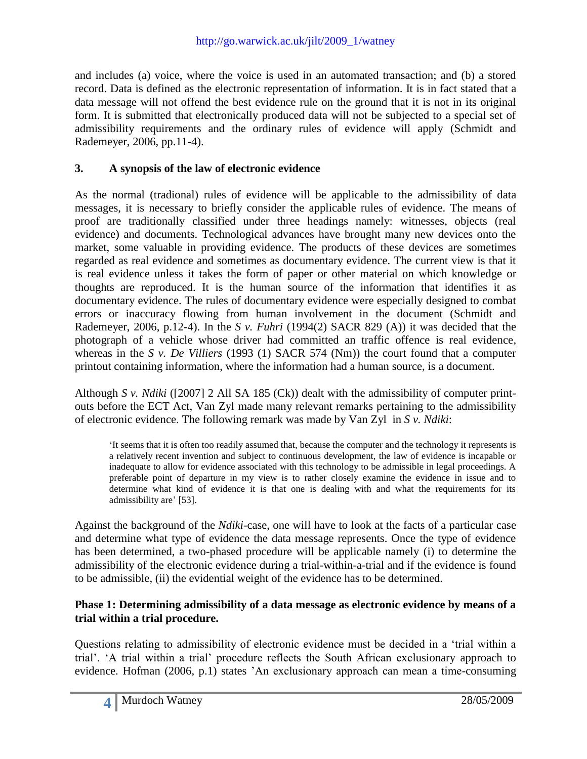and includes (a) voice, where the voice is used in an automated transaction; and (b) a stored record. Data is defined as the electronic representation of information. It is in fact stated that a data message will not offend the best evidence rule on the ground that it is not in its original form. It is submitted that electronically produced data will not be subjected to a special set of admissibility requirements and the ordinary rules of evidence will apply (Schmidt and Rademeyer, 2006, pp.11-4).

# **3. A synopsis of the law of electronic evidence**

As the normal (tradional) rules of evidence will be applicable to the admissibility of data messages, it is necessary to briefly consider the applicable rules of evidence. The means of proof are traditionally classified under three headings namely: witnesses, objects (real evidence) and documents. Technological advances have brought many new devices onto the market, some valuable in providing evidence. The products of these devices are sometimes regarded as real evidence and sometimes as documentary evidence. The current view is that it is real evidence unless it takes the form of paper or other material on which knowledge or thoughts are reproduced. It is the human source of the information that identifies it as documentary evidence. The rules of documentary evidence were especially designed to combat errors or inaccuracy flowing from human involvement in the document (Schmidt and Rademeyer, 2006, p.12-4). In the *S v. Fuhri* (1994(2) SACR 829 (A)) it was decided that the photograph of a vehicle whose driver had committed an traffic offence is real evidence, whereas in the *S v. De Villiers* (1993 (1) SACR 574 (Nm)) the court found that a computer printout containing information, where the information had a human source, is a document.

Although *S v. Ndiki* ([2007] 2 All SA 185 (Ck)) dealt with the admissibility of computer printouts before the ECT Act, Van Zyl made many relevant remarks pertaining to the admissibility of electronic evidence. The following remark was made by Van Zyl in *S v. Ndiki*:

"It seems that it is often too readily assumed that, because the computer and the technology it represents is a relatively recent invention and subject to continuous development, the law of evidence is incapable or inadequate to allow for evidence associated with this technology to be admissible in legal proceedings. A preferable point of departure in my view is to rather closely examine the evidence in issue and to determine what kind of evidence it is that one is dealing with and what the requirements for its admissibility are' [53].

Against the background of the *Ndiki*-case, one will have to look at the facts of a particular case and determine what type of evidence the data message represents. Once the type of evidence has been determined, a two-phased procedure will be applicable namely (i) to determine the admissibility of the electronic evidence during a trial-within-a-trial and if the evidence is found to be admissible, (ii) the evidential weight of the evidence has to be determined.

### **Phase 1: Determining admissibility of a data message as electronic evidence by means of a trial within a trial procedure.**

Questions relating to admissibility of electronic evidence must be decided in a "trial within a trial". "A trial within a trial" procedure reflects the South African exclusionary approach to evidence. Hofman (2006, p.1) states "An exclusionary approach can mean a time-consuming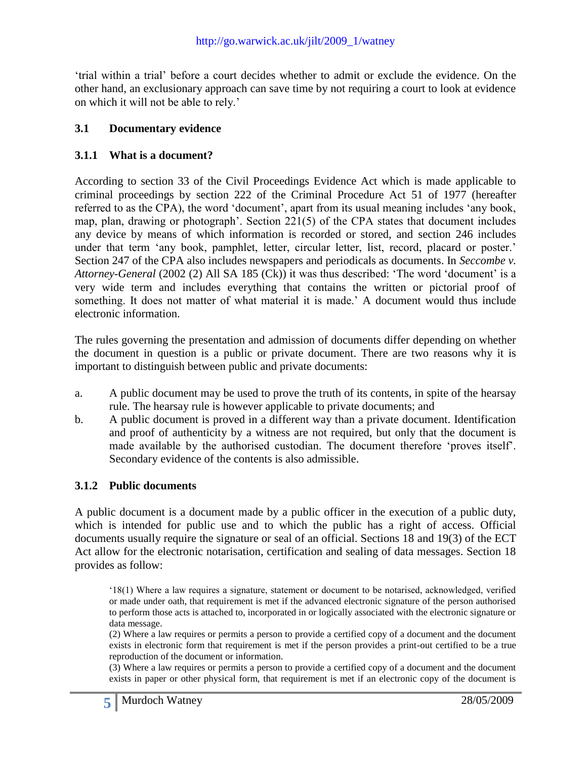"trial within a trial" before a court decides whether to admit or exclude the evidence. On the other hand, an exclusionary approach can save time by not requiring a court to look at evidence on which it will not be able to rely."

### **3.1 Documentary evidence**

#### **3.1.1 What is a document?**

According to section 33 of the Civil Proceedings Evidence Act which is made applicable to criminal proceedings by section 222 of the Criminal Procedure Act 51 of 1977 (hereafter referred to as the CPA), the word 'document', apart from its usual meaning includes 'any book, map, plan, drawing or photograph". Section 221(5) of the CPA states that document includes any device by means of which information is recorded or stored, and section 246 includes under that term 'any book, pamphlet, letter, circular letter, list, record, placard or poster.' Section 247 of the CPA also includes newspapers and periodicals as documents. In *Seccombe v. Attorney-General* (2002 (2) All SA 185 (Ck)) it was thus described: "The word "document" is a very wide term and includes everything that contains the written or pictorial proof of something. It does not matter of what material it is made.' A document would thus include electronic information.

The rules governing the presentation and admission of documents differ depending on whether the document in question is a public or private document. There are two reasons why it is important to distinguish between public and private documents:

- a. A public document may be used to prove the truth of its contents, in spite of the hearsay rule. The hearsay rule is however applicable to private documents; and
- b. A public document is proved in a different way than a private document. Identification and proof of authenticity by a witness are not required, but only that the document is made available by the authorised custodian. The document therefore "proves itself". Secondary evidence of the contents is also admissible.

#### **3.1.2 Public documents**

A public document is a document made by a public officer in the execution of a public duty, which is intended for public use and to which the public has a right of access. Official documents usually require the signature or seal of an official. Sections 18 and 19(3) of the ECT Act allow for the electronic notarisation, certification and sealing of data messages. Section 18 provides as follow:

"18(1) Where a law requires a signature, statement or document to be notarised, acknowledged, verified or made under oath, that requirement is met if the advanced electronic signature of the person authorised to perform those acts is attached to, incorporated in or logically associated with the electronic signature or data message.

(2) Where a law requires or permits a person to provide a certified copy of a document and the document exists in electronic form that requirement is met if the person provides a print-out certified to be a true reproduction of the document or information.

(3) Where a law requires or permits a person to provide a certified copy of a document and the document exists in paper or other physical form, that requirement is met if an electronic copy of the document is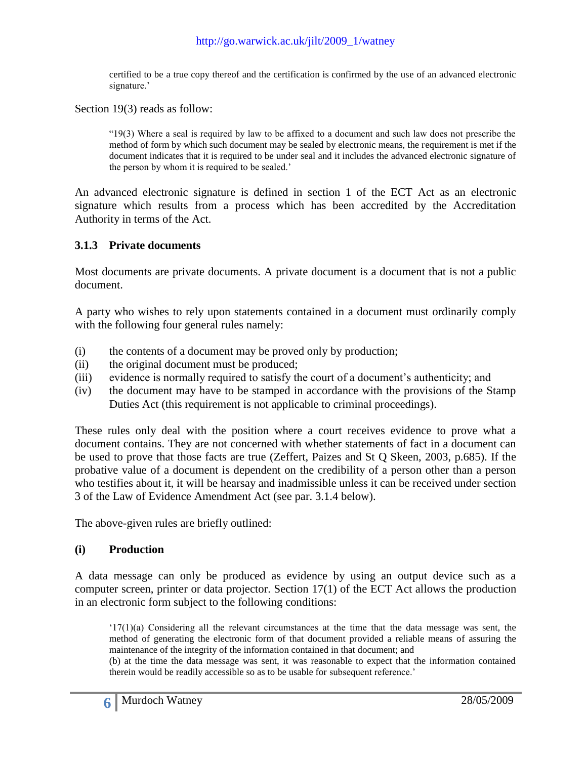certified to be a true copy thereof and the certification is confirmed by the use of an advanced electronic signature.'

Section 19(3) reads as follow:

"19(3) Where a seal is required by law to be affixed to a document and such law does not prescribe the method of form by which such document may be sealed by electronic means, the requirement is met if the document indicates that it is required to be under seal and it includes the advanced electronic signature of the person by whom it is required to be sealed."

An advanced electronic signature is defined in section 1 of the ECT Act as an electronic signature which results from a process which has been accredited by the Accreditation Authority in terms of the Act.

#### **3.1.3 Private documents**

Most documents are private documents. A private document is a document that is not a public document.

A party who wishes to rely upon statements contained in a document must ordinarily comply with the following four general rules namely:

- (i) the contents of a document may be proved only by production;
- (ii) the original document must be produced;
- (iii) evidence is normally required to satisfy the court of a document"s authenticity; and
- (iv) the document may have to be stamped in accordance with the provisions of the Stamp Duties Act (this requirement is not applicable to criminal proceedings).

These rules only deal with the position where a court receives evidence to prove what a document contains. They are not concerned with whether statements of fact in a document can be used to prove that those facts are true (Zeffert, Paizes and St Q Skeen, 2003, p.685). If the probative value of a document is dependent on the credibility of a person other than a person who testifies about it, it will be hearsay and inadmissible unless it can be received under section 3 of the Law of Evidence Amendment Act (see par. 3.1.4 below).

The above-given rules are briefly outlined:

#### **(i) Production**

A data message can only be produced as evidence by using an output device such as a computer screen, printer or data projector. Section 17(1) of the ECT Act allows the production in an electronic form subject to the following conditions:

 $(17(1)(a)$  Considering all the relevant circumstances at the time that the data message was sent, the method of generating the electronic form of that document provided a reliable means of assuring the maintenance of the integrity of the information contained in that document; and

(b) at the time the data message was sent, it was reasonable to expect that the information contained therein would be readily accessible so as to be usable for subsequent reference.'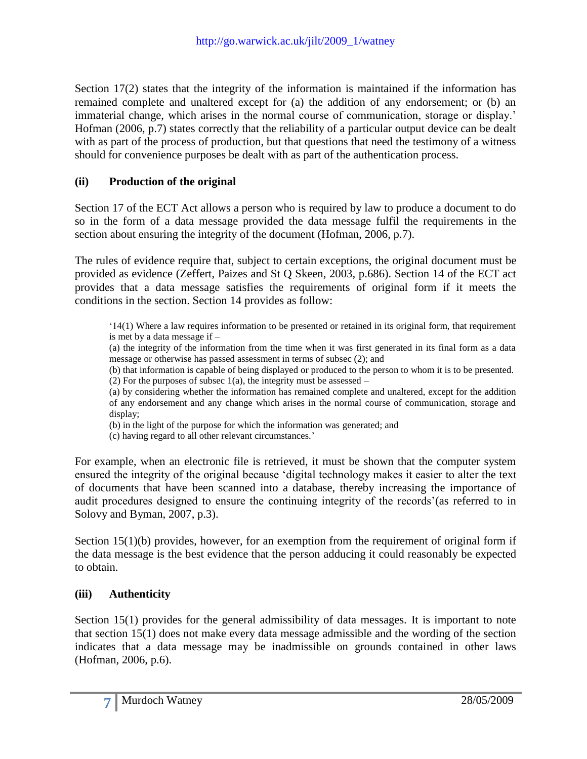Section 17(2) states that the integrity of the information is maintained if the information has remained complete and unaltered except for (a) the addition of any endorsement; or (b) an immaterial change, which arises in the normal course of communication, storage or display." Hofman (2006, p.7) states correctly that the reliability of a particular output device can be dealt with as part of the process of production, but that questions that need the testimony of a witness should for convenience purposes be dealt with as part of the authentication process.

# **(ii) Production of the original**

Section 17 of the ECT Act allows a person who is required by law to produce a document to do so in the form of a data message provided the data message fulfil the requirements in the section about ensuring the integrity of the document (Hofman, 2006, p.7).

The rules of evidence require that, subject to certain exceptions, the original document must be provided as evidence (Zeffert, Paizes and St Q Skeen, 2003, p.686). Section 14 of the ECT act provides that a data message satisfies the requirements of original form if it meets the conditions in the section. Section 14 provides as follow:

"14(1) Where a law requires information to be presented or retained in its original form, that requirement is met by a data message if –

(a) the integrity of the information from the time when it was first generated in its final form as a data message or otherwise has passed assessment in terms of subsec (2); and

(b) that information is capable of being displayed or produced to the person to whom it is to be presented. (2) For the purposes of subsec  $1(a)$ , the integrity must be assessed –

(a) by considering whether the information has remained complete and unaltered, except for the addition of any endorsement and any change which arises in the normal course of communication, storage and display;

(b) in the light of the purpose for which the information was generated; and

(c) having regard to all other relevant circumstances."

For example, when an electronic file is retrieved, it must be shown that the computer system ensured the integrity of the original because "digital technology makes it easier to alter the text of documents that have been scanned into a database, thereby increasing the importance of audit procedures designed to ensure the continuing integrity of the records' (as referred to in Solovy and Byman, 2007, p.3).

Section 15(1)(b) provides, however, for an exemption from the requirement of original form if the data message is the best evidence that the person adducing it could reasonably be expected to obtain.

### **(iii) Authenticity**

Section 15(1) provides for the general admissibility of data messages. It is important to note that section 15(1) does not make every data message admissible and the wording of the section indicates that a data message may be inadmissible on grounds contained in other laws (Hofman, 2006, p.6).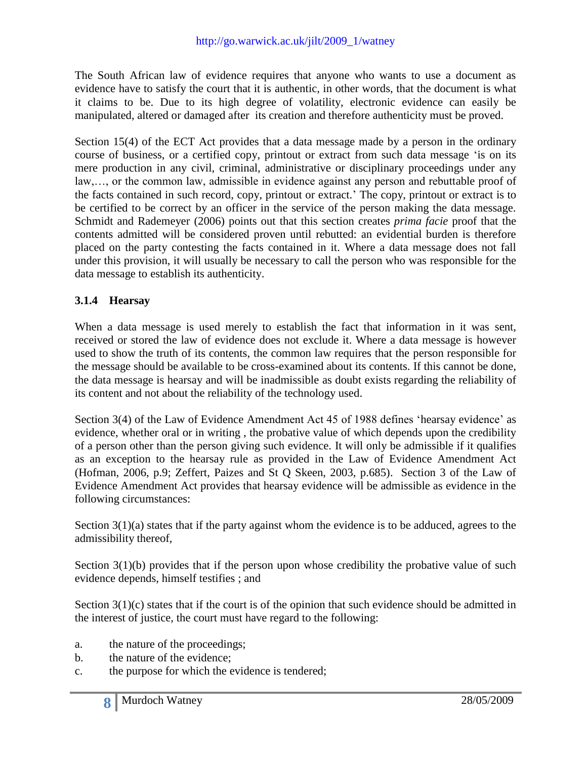The South African law of evidence requires that anyone who wants to use a document as evidence have to satisfy the court that it is authentic, in other words, that the document is what it claims to be. Due to its high degree of volatility, electronic evidence can easily be manipulated, altered or damaged after its creation and therefore authenticity must be proved.

Section 15(4) of the ECT Act provides that a data message made by a person in the ordinary course of business, or a certified copy, printout or extract from such data message "is on its mere production in any civil, criminal, administrative or disciplinary proceedings under any law,…, or the common law, admissible in evidence against any person and rebuttable proof of the facts contained in such record, copy, printout or extract." The copy, printout or extract is to be certified to be correct by an officer in the service of the person making the data message. Schmidt and Rademeyer (2006) points out that this section creates *prima facie* proof that the contents admitted will be considered proven until rebutted: an evidential burden is therefore placed on the party contesting the facts contained in it. Where a data message does not fall under this provision, it will usually be necessary to call the person who was responsible for the data message to establish its authenticity.

### **3.1.4 Hearsay**

When a data message is used merely to establish the fact that information in it was sent, received or stored the law of evidence does not exclude it. Where a data message is however used to show the truth of its contents, the common law requires that the person responsible for the message should be available to be cross-examined about its contents. If this cannot be done, the data message is hearsay and will be inadmissible as doubt exists regarding the reliability of its content and not about the reliability of the technology used.

Section 3(4) of the Law of Evidence Amendment Act 45 of 1988 defines "hearsay evidence" as evidence, whether oral or in writing , the probative value of which depends upon the credibility of a person other than the person giving such evidence. It will only be admissible if it qualifies as an exception to the hearsay rule as provided in the Law of Evidence Amendment Act (Hofman, 2006, p.9; Zeffert, Paizes and St Q Skeen, 2003, p.685). Section 3 of the Law of Evidence Amendment Act provides that hearsay evidence will be admissible as evidence in the following circumstances:

Section 3(1)(a) states that if the party against whom the evidence is to be adduced, agrees to the admissibility thereof,

Section  $3(1)(b)$  provides that if the person upon whose credibility the probative value of such evidence depends, himself testifies ; and

Section  $3(1)(c)$  states that if the court is of the opinion that such evidence should be admitted in the interest of justice, the court must have regard to the following:

- a. the nature of the proceedings;
- b. the nature of the evidence;
- c. the purpose for which the evidence is tendered;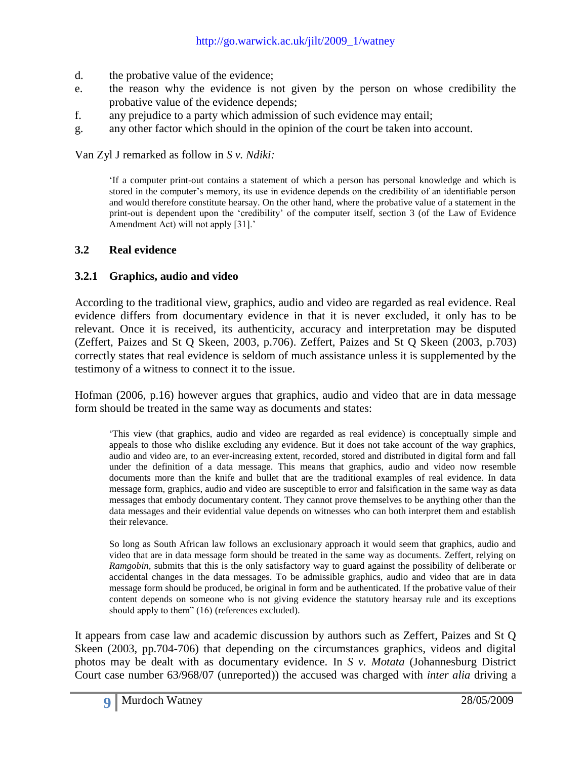- d. the probative value of the evidence;
- e. the reason why the evidence is not given by the person on whose credibility the probative value of the evidence depends;
- f. any prejudice to a party which admission of such evidence may entail;
- g. any other factor which should in the opinion of the court be taken into account.

Van Zyl J remarked as follow in *S v. Ndiki:*

"If a computer print-out contains a statement of which a person has personal knowledge and which is stored in the computer"s memory, its use in evidence depends on the credibility of an identifiable person and would therefore constitute hearsay. On the other hand, where the probative value of a statement in the print-out is dependent upon the "credibility" of the computer itself, section 3 (of the Law of Evidence Amendment Act) will not apply [31].'

#### **3.2 Real evidence**

#### **3.2.1 Graphics, audio and video**

According to the traditional view, graphics, audio and video are regarded as real evidence. Real evidence differs from documentary evidence in that it is never excluded, it only has to be relevant. Once it is received, its authenticity, accuracy and interpretation may be disputed (Zeffert, Paizes and St Q Skeen, 2003, p.706). Zeffert, Paizes and St Q Skeen (2003, p.703) correctly states that real evidence is seldom of much assistance unless it is supplemented by the testimony of a witness to connect it to the issue.

Hofman (2006, p.16) however argues that graphics, audio and video that are in data message form should be treated in the same way as documents and states:

"This view (that graphics, audio and video are regarded as real evidence) is conceptually simple and appeals to those who dislike excluding any evidence. But it does not take account of the way graphics, audio and video are, to an ever-increasing extent, recorded, stored and distributed in digital form and fall under the definition of a data message. This means that graphics, audio and video now resemble documents more than the knife and bullet that are the traditional examples of real evidence. In data message form, graphics, audio and video are susceptible to error and falsification in the same way as data messages that embody documentary content. They cannot prove themselves to be anything other than the data messages and their evidential value depends on witnesses who can both interpret them and establish their relevance.

So long as South African law follows an exclusionary approach it would seem that graphics, audio and video that are in data message form should be treated in the same way as documents. Zeffert, relying on *Ramgobin,* submits that this is the only satisfactory way to guard against the possibility of deliberate or accidental changes in the data messages. To be admissible graphics, audio and video that are in data message form should be produced, be original in form and be authenticated. If the probative value of their content depends on someone who is not giving evidence the statutory hearsay rule and its exceptions should apply to them" (16) (references excluded).

It appears from case law and academic discussion by authors such as Zeffert, Paizes and St Q Skeen (2003, pp.704-706) that depending on the circumstances graphics, videos and digital photos may be dealt with as documentary evidence. In *S v. Motata* (Johannesburg District Court case number 63/968/07 (unreported)) the accused was charged with *inter alia* driving a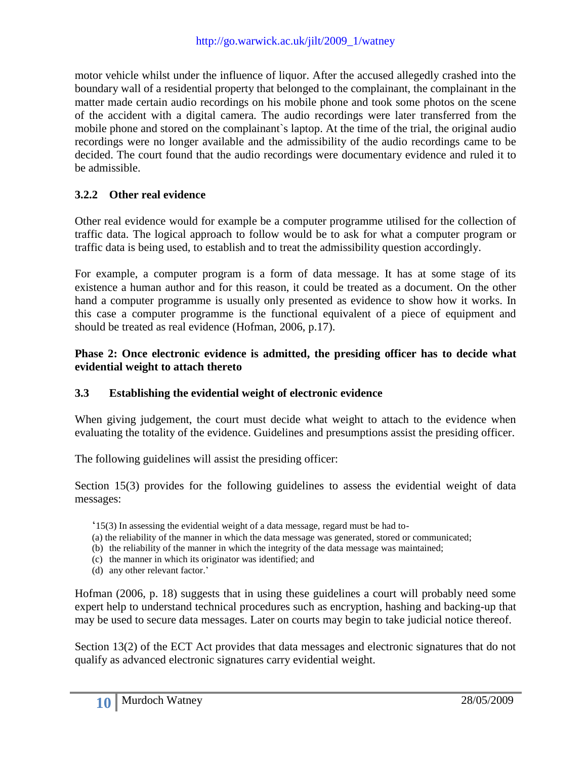motor vehicle whilst under the influence of liquor. After the accused allegedly crashed into the boundary wall of a residential property that belonged to the complainant, the complainant in the matter made certain audio recordings on his mobile phone and took some photos on the scene of the accident with a digital camera. The audio recordings were later transferred from the mobile phone and stored on the complainant`s laptop. At the time of the trial, the original audio recordings were no longer available and the admissibility of the audio recordings came to be decided. The court found that the audio recordings were documentary evidence and ruled it to be admissible.

# **3.2.2 Other real evidence**

Other real evidence would for example be a computer programme utilised for the collection of traffic data. The logical approach to follow would be to ask for what a computer program or traffic data is being used, to establish and to treat the admissibility question accordingly.

For example, a computer program is a form of data message. It has at some stage of its existence a human author and for this reason, it could be treated as a document. On the other hand a computer programme is usually only presented as evidence to show how it works. In this case a computer programme is the functional equivalent of a piece of equipment and should be treated as real evidence (Hofman, 2006, p.17).

### **Phase 2: Once electronic evidence is admitted, the presiding officer has to decide what evidential weight to attach thereto**

#### **3.3 Establishing the evidential weight of electronic evidence**

When giving judgement, the court must decide what weight to attach to the evidence when evaluating the totality of the evidence. Guidelines and presumptions assist the presiding officer.

The following guidelines will assist the presiding officer:

Section 15(3) provides for the following guidelines to assess the evidential weight of data messages:

- $15(3)$  In assessing the evidential weight of a data message, regard must be had to-
- (a) the reliability of the manner in which the data message was generated, stored or communicated;
- (b) the reliability of the manner in which the integrity of the data message was maintained;
- (c) the manner in which its originator was identified; and
- (d) any other relevant factor.'

Hofman (2006, p. 18) suggests that in using these guidelines a court will probably need some expert help to understand technical procedures such as encryption, hashing and backing-up that may be used to secure data messages. Later on courts may begin to take judicial notice thereof.

Section 13(2) of the ECT Act provides that data messages and electronic signatures that do not qualify as advanced electronic signatures carry evidential weight.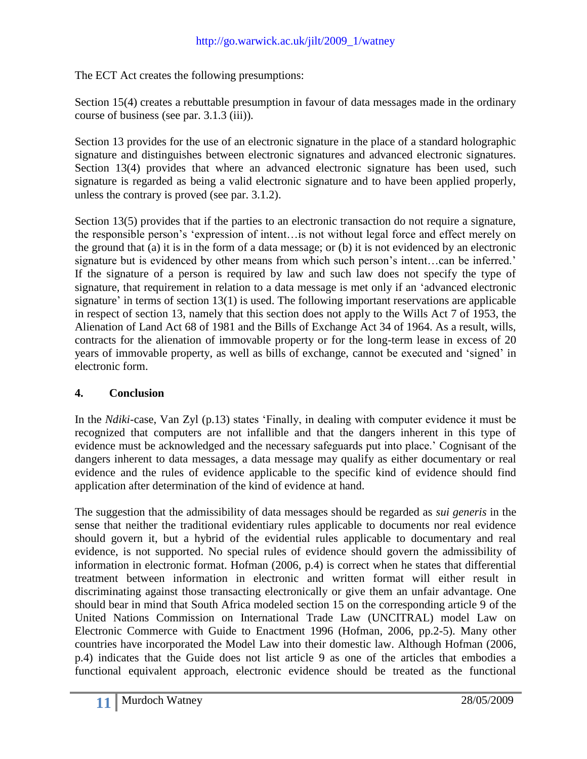The ECT Act creates the following presumptions:

Section 15(4) creates a rebuttable presumption in favour of data messages made in the ordinary course of business (see par. 3.1.3 (iii)).

Section 13 provides for the use of an electronic signature in the place of a standard holographic signature and distinguishes between electronic signatures and advanced electronic signatures. Section 13(4) provides that where an advanced electronic signature has been used, such signature is regarded as being a valid electronic signature and to have been applied properly, unless the contrary is proved (see par. 3.1.2).

Section 13(5) provides that if the parties to an electronic transaction do not require a signature, the responsible person"s "expression of intent…is not without legal force and effect merely on the ground that (a) it is in the form of a data message; or (b) it is not evidenced by an electronic signature but is evidenced by other means from which such person's intent...can be inferred.' If the signature of a person is required by law and such law does not specify the type of signature, that requirement in relation to a data message is met only if an "advanced electronic signature' in terms of section  $13(1)$  is used. The following important reservations are applicable in respect of section 13, namely that this section does not apply to the Wills Act 7 of 1953, the Alienation of Land Act 68 of 1981 and the Bills of Exchange Act 34 of 1964. As a result, wills, contracts for the alienation of immovable property or for the long-term lease in excess of 20 years of immovable property, as well as bills of exchange, cannot be executed and "signed" in electronic form.

# **4. Conclusion**

In the *Ndiki*-case, Van Zyl (p.13) states "Finally, in dealing with computer evidence it must be recognized that computers are not infallible and that the dangers inherent in this type of evidence must be acknowledged and the necessary safeguards put into place." Cognisant of the dangers inherent to data messages, a data message may qualify as either documentary or real evidence and the rules of evidence applicable to the specific kind of evidence should find application after determination of the kind of evidence at hand.

The suggestion that the admissibility of data messages should be regarded as *sui generis* in the sense that neither the traditional evidentiary rules applicable to documents nor real evidence should govern it, but a hybrid of the evidential rules applicable to documentary and real evidence, is not supported. No special rules of evidence should govern the admissibility of information in electronic format. Hofman (2006, p.4) is correct when he states that differential treatment between information in electronic and written format will either result in discriminating against those transacting electronically or give them an unfair advantage. One should bear in mind that South Africa modeled section 15 on the corresponding article 9 of the United Nations Commission on International Trade Law (UNCITRAL) model Law on Electronic Commerce with Guide to Enactment 1996 (Hofman, 2006, pp.2-5). Many other countries have incorporated the Model Law into their domestic law. Although Hofman (2006, p.4) indicates that the Guide does not list article 9 as one of the articles that embodies a functional equivalent approach, electronic evidence should be treated as the functional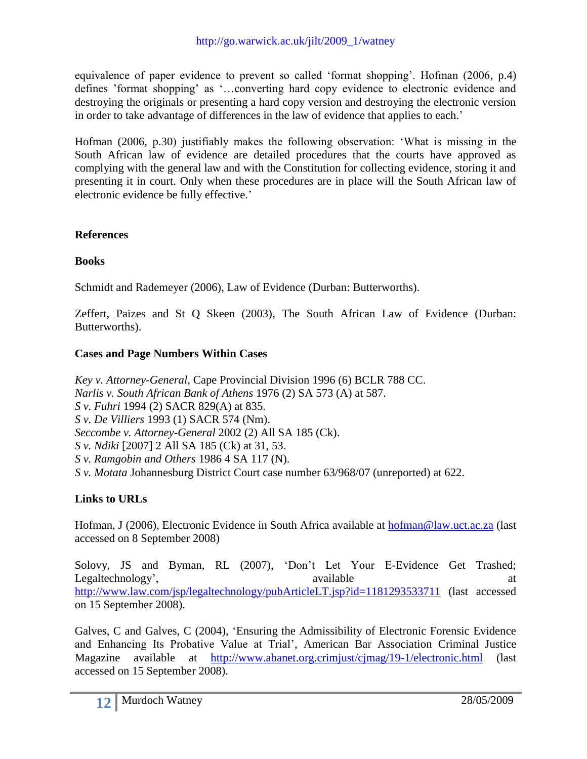equivalence of paper evidence to prevent so called "format shopping". Hofman (2006, p.4) defines "format shopping" as "…converting hard copy evidence to electronic evidence and destroying the originals or presenting a hard copy version and destroying the electronic version in order to take advantage of differences in the law of evidence that applies to each."

Hofman (2006, p.30) justifiably makes the following observation: "What is missing in the South African law of evidence are detailed procedures that the courts have approved as complying with the general law and with the Constitution for collecting evidence, storing it and presenting it in court. Only when these procedures are in place will the South African law of electronic evidence be fully effective.'

### **References**

### **Books**

Schmidt and Rademeyer (2006), Law of Evidence (Durban: Butterworths).

Zeffert, Paizes and St Q Skeen (2003), The South African Law of Evidence (Durban: Butterworths).

### **Cases and Page Numbers Within Cases**

*Key v. Attorney-General*, Cape Provincial Division 1996 (6) BCLR 788 CC. *Narlis v. South African Bank of Athens* 1976 (2) SA 573 (A) at 587. *S v. Fuhri* 1994 (2) SACR 829(A) at 835. *S v. De Villiers* 1993 (1) SACR 574 (Nm). *Seccombe v. Attorney-General* 2002 (2) All SA 185 (Ck). *S v. Ndiki* [2007] 2 All SA 185 (Ck) at 31, 53. *S v. Ramgobin and Others* 1986 4 SA 117 (N). *S v. Motata* Johannesburg District Court case number 63/968/07 (unreported) at 622.

### **Links to URLs**

Hofman, J (2006), Electronic Evidence in South Africa available at [hofman@law.uct.ac.za](mailto:hofman@law.uct.ac.za) (last accessed on 8 September 2008)

Solovy, JS and Byman, RL (2007), 'Don't Let Your E-Evidence Get Trashed; Legaltechnology', available at a state at the state at a state at a state at a state at a state at a state at a state at a state at a state at a state at a state at a state at a state at a state at a state at a state at a <http://www.law.com/jsp/legaltechnology/pubArticleLT.jsp?id=1181293533711> (last accessed on 15 September 2008).

Galves, C and Galves, C (2004), "Ensuring the Admissibility of Electronic Forensic Evidence and Enhancing Its Probative Value at Trial", American Bar Association Criminal Justice Magazine available at <http://www.abanet.org.crimjust/cjmag/19-1/electronic.html> (last accessed on 15 September 2008).